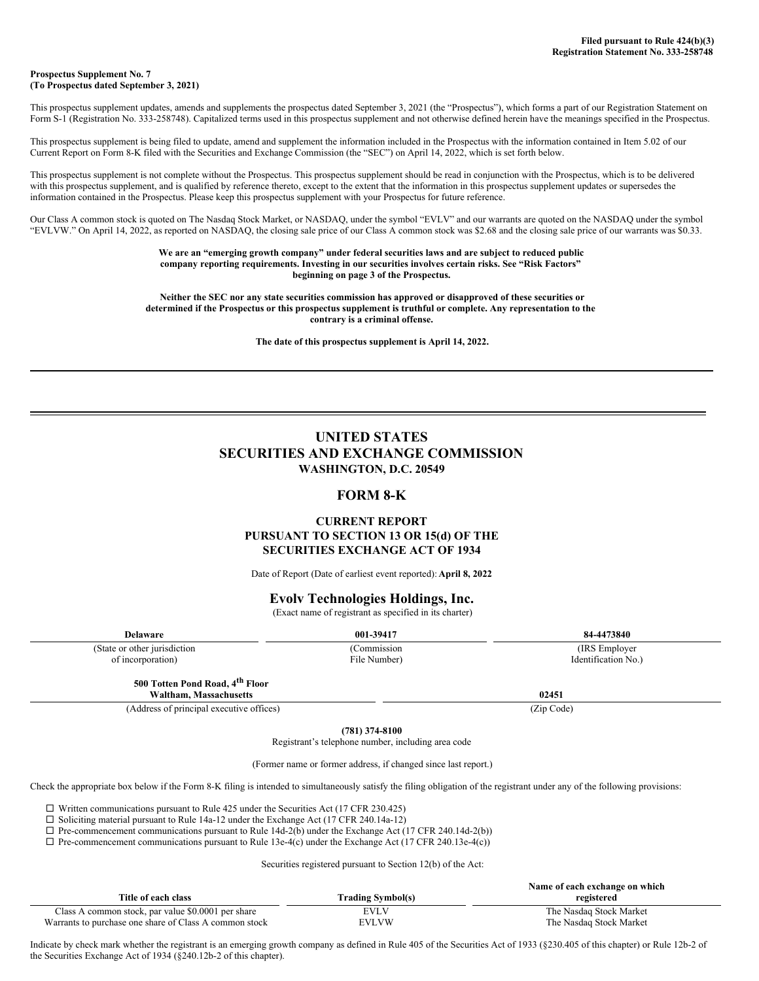#### **Prospectus Supplement No. 7 (To Prospectus dated September 3, 2021)**

This prospectus supplement updates, amends and supplements the prospectus dated September 3, 2021 (the "Prospectus"), which forms a part of our Registration Statement on Form S-1 (Registration No. 333-258748). Capitalized terms used in this prospectus supplement and not otherwise defined herein have the meanings specified in the Prospectus.

This prospectus supplement is being filed to update, amend and supplement the information included in the Prospectus with the information contained in Item 5.02 of our Current Report on Form 8-K filed with the Securities and Exchange Commission (the "SEC") on April 14, 2022, which is set forth below.

This prospectus supplement is not complete without the Prospectus. This prospectus supplement should be read in conjunction with the Prospectus, which is to be delivered with this prospectus supplement, and is qualified by reference thereto, except to the extent that the information in this prospectus supplement updates or supersedes the information contained in the Prospectus. Please keep this prospectus supplement with your Prospectus for future reference.

Our Class A common stock is quoted on The Nasdaq Stock Market, or NASDAQ, under the symbol "EVLV" and our warrants are quoted on the NASDAQ under the symbol "EVLVW." On April 14, 2022, as reported on NASDAQ, the closing sale price of our Class A common stock was \$2.68 and the closing sale price of our warrants was \$0.33.

> **We are an "emerging growth company" under federal securities laws and are subject to reduced public company reporting requirements. Investing in our securities involves certain risks. See "Risk Factors" beginning on page 3 of the Prospectus.**

**Neither the SEC nor any state securities commission has approved or disapproved of these securities or determined if the Prospectus or this prospectus supplement is truthful or complete. Any representation to the contrary is a criminal offense.**

**The date of this prospectus supplement is April 14, 2022.**

# **UNITED STATES SECURITIES AND EXCHANGE COMMISSION WASHINGTON, D.C. 20549**

### **FORM 8-K**

### **CURRENT REPORT PURSUANT TO SECTION 13 OR 15(d) OF THE SECURITIES EXCHANGE ACT OF 1934**

Date of Report (Date of earliest event reported): **April 8, 2022**

### **Evolv Technologies Holdings, Inc.**

(Exact name of registrant as specified in its charter)

| Delaware                      | 001-39417    | 84-4473840          |
|-------------------------------|--------------|---------------------|
| (State or other jurisdiction) | Commission   | (IRS Employer)      |
| of incorporation)             | File Number) | Identification No.) |
|                               |              |                     |

**500 Totten Pond Road, 4 th Floor**

**Waltham, Massachusetts 02451**

(Address of principal executive offices) (Zip Code)

**(781) 374-8100**

Registrant's telephone number, including area code

(Former name or former address, if changed since last report.)

Check the appropriate box below if the Form 8-K filing is intended to simultaneously satisfy the filing obligation of the registrant under any of the following provisions:

 $\Box$  Written communications pursuant to Rule 425 under the Securities Act (17 CFR 230.425)

 $\square$  Soliciting material pursuant to Rule 14a-12 under the Exchange Act (17 CFR 240.14a-12)

 $\Box$  Pre-commencement communications pursuant to Rule 14d-2(b) under the Exchange Act (17 CFR 240.14d-2(b))

 $\Box$  Pre-commencement communications pursuant to Rule 13e-4(c) under the Exchange Act (17 CFR 240.13e-4(c))

Securities registered pursuant to Section 12(b) of the Act:

|                                                        |                          | Name of each exchange on which |
|--------------------------------------------------------|--------------------------|--------------------------------|
| Title of each class                                    | <b>Trading Symbol(s)</b> | registered                     |
| Class A common stock, par value \$0.0001 per share     | EVLV                     | The Nasdaq Stock Market        |
| Warrants to purchase one share of Class A common stock | <b>EVLVW</b>             | The Nasdaq Stock Market        |

Indicate by check mark whether the registrant is an emerging growth company as defined in Rule 405 of the Securities Act of 1933 (§230.405 of this chapter) or Rule 12b-2 of the Securities Exchange Act of 1934 (§240.12b-2 of this chapter).